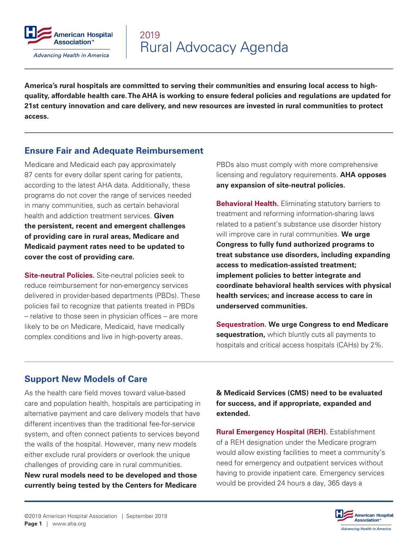

**America's rural hospitals are committed to serving their communities and ensuring local access to highquality, affordable health care. The AHA is working to ensure federal policies and regulations are updated for 21st century innovation and care delivery, and new resources are invested in rural communities to protect access.**

## **Ensure Fair and Adequate Reimbursement**

Medicare and Medicaid each pay approximately 87 cents for every dollar spent caring for patients, according to the latest AHA data. Additionally, these programs do not cover the range of services needed in many communities, such as certain behavioral health and addiction treatment services. **Given the persistent, recent and emergent challenges of providing care in rural areas, Medicare and Medicaid payment rates need to be updated to cover the cost of providing care.**

**Site-neutral Policies.** Site-neutral policies seek to reduce reimbursement for non-emergency services delivered in provider-based departments (PBDs). These policies fail to recognize that patients treated in PBDs – relative to those seen in physician offices – are more likely to be on Medicare, Medicaid, have medically complex conditions and live in high-poverty areas.

PBDs also must comply with more comprehensive licensing and regulatory requirements. **AHA opposes any expansion of site-neutral policies.**

**Behavioral Health.** Eliminating statutory barriers to treatment and reforming information-sharing laws related to a patient's substance use disorder history will improve care in rural communities. **We urge Congress to fully fund authorized programs to treat substance use disorders, including expanding access to medication-assisted treatment; implement policies to better integrate and coordinate behavioral health services with physical health services; and increase access to care in underserved communities.**

**Sequestration. We urge Congress to end Medicare sequestration,** which bluntly cuts all payments to hospitals and critical access hospitals (CAHs) by 2%.

## **Support New Models of Care**

As the health care field moves toward value-based care and population health, hospitals are participating in alternative payment and care delivery models that have different incentives than the traditional fee-for-service system, and often connect patients to services beyond the walls of the hospital. However, many new models either exclude rural providers or overlook the unique challenges of providing care in rural communities. **New rural models need to be developed and those currently being tested by the Centers for Medicare** 

**& Medicaid Services (CMS) need to be evaluated for success, and if appropriate, expanded and extended.**

**Rural Emergency Hospital (REH).** Establishment of a REH designation under the Medicare program would allow existing facilities to meet a community's need for emergency and outpatient services without having to provide inpatient care. Emergency services would be provided 24 hours a day, 365 days a

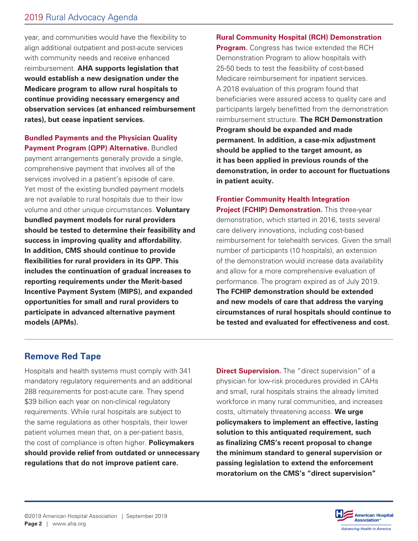year, and communities would have the flexibility to align additional outpatient and post-acute services with community needs and receive enhanced reimbursement. **AHA supports legislation that would establish a new designation under the Medicare program to allow rural hospitals to continue providing necessary emergency and observation services (at enhanced reimbursement rates), but cease inpatient services.**

**Bundled Payments and the Physician Quality Payment Program (QPP) Alternative.** Bundled payment arrangements generally provide a single, comprehensive payment that involves all of the services involved in a patient's episode of care. Yet most of the existing bundled payment models are not available to rural hospitals due to their low volume and other unique circumstances. **Voluntary bundled payment models for rural providers should be tested to determine their feasibility and success in improving quality and affordability. In addition, CMS should continue to provide flexibilities for rural providers in its QPP. This includes the continuation of gradual increases to reporting requirements under the Merit-based Incentive Payment System (MIPS), and expanded opportunities for small and rural providers to participate in advanced alternative payment models (APMs).**

#### **Rural Community Hospital (RCH) Demonstration**

**Program.** Congress has twice extended the RCH Demonstration Program to allow hospitals with 25-50 beds to test the feasibility of cost-based Medicare reimbursement for inpatient services. A 2018 evaluation of this program found that beneficiaries were assured access to quality care and participants largely benefitted from the demonstration reimbursement structure. **The RCH Demonstration Program should be expanded and made permanent. In addition, a case-mix adjustment should be applied to the target amount, as it has been applied in previous rounds of the demonstration, in order to account for fluctuations in patient acuity.**

## **Frontier Community Health Integration Project (FCHIP) Demonstration.** This three-year demonstration, which started in 2016, tests several care delivery innovations, including cost-based reimbursement for telehealth services. Given the small number of participants (10 hospitals), an extension of the demonstration would increase data availability and allow for a more comprehensive evaluation of performance. The program expired as of July 2019. **The FCHIP demonstration should be extended and new models of care that address the varying circumstances of rural hospitals should continue to be tested and evaluated for effectiveness and cost.**

## **Remove Red Tape**

Hospitals and health systems must comply with 341 mandatory regulatory requirements and an additional 288 requirements for post-acute care. They spend \$39 billion each year on non-clinical regulatory requirements. While rural hospitals are subject to the same regulations as other hospitals, their lower patient volumes mean that, on a per-patient basis, the cost of compliance is often higher. **Policymakers should provide relief from outdated or unnecessary regulations that do not improve patient care.**

**Direct Supervision.** The "direct supervision" of a physician for low-risk procedures provided in CAHs and small, rural hospitals strains the already limited workforce in many rural communities, and increases costs, ultimately threatening access. **We urge policymakers to implement an effective, lasting solution to this antiquated requirement, such as finalizing CMS's recent proposal to change the minimum standard to general supervision or passing legislation to extend the enforcement moratorium on the CMS's "direct supervision"** 

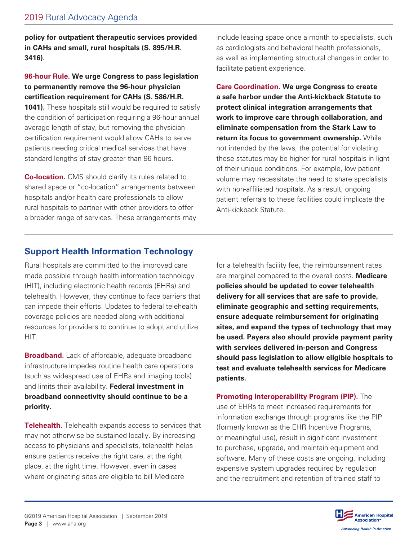**policy for outpatient therapeutic services provided in CAHs and small, rural hospitals (S. 895/H.R. 3416).**

#### **96-hour Rule. We urge Congress to pass legislation to permanently remove the 96-hour physician certification requirement for CAHs (S. 586/H.R.**

**1041).** These hospitals still would be required to satisfy the condition of participation requiring a 96-hour annual average length of stay, but removing the physician certification requirement would allow CAHs to serve patients needing critical medical services that have standard lengths of stay greater than 96 hours.

**Co-location.** CMS should clarify its rules related to shared space or "co-location" arrangements between hospitals and/or health care professionals to allow rural hospitals to partner with other providers to offer a broader range of services. These arrangements may

include leasing space once a month to specialists, such as cardiologists and behavioral health professionals, as well as implementing structural changes in order to facilitate patient experience.

**Care Coordination. We urge Congress to create a safe harbor under the Anti-kickback Statute to protect clinical integration arrangements that work to improve care through collaboration, and eliminate compensation from the Stark Law to return its focus to government ownership.** While not intended by the laws, the potential for violating these statutes may be higher for rural hospitals in light of their unique conditions. For example, low patient volume may necessitate the need to share specialists with non-affiliated hospitals. As a result, ongoing patient referrals to these facilities could implicate the Anti-kickback Statute.

# **Support Health Information Technology**

Rural hospitals are committed to the improved care made possible through health information technology (HIT), including electronic health records (EHRs) and telehealth. However, they continue to face barriers that can impede their efforts. Updates to federal telehealth coverage policies are needed along with additional resources for providers to continue to adopt and utilize HIT.

**Broadband.** Lack of affordable, adequate broadband infrastructure impedes routine health care operations (such as widespread use of EHRs and imaging tools) and limits their availability. **Federal investment in broadband connectivity should continue to be a priority.**

**Telehealth.** Telehealth expands access to services that may not otherwise be sustained locally. By increasing access to physicians and specialists, telehealth helps ensure patients receive the right care, at the right place, at the right time. However, even in cases where originating sites are eligible to bill Medicare

for a telehealth facility fee, the reimbursement rates are marginal compared to the overall costs. **Medicare policies should be updated to cover telehealth delivery for all services that are safe to provide, eliminate geographic and setting requirements, ensure adequate reimbursement for originating sites, and expand the types of technology that may be used. Payers also should provide payment parity with services delivered in-person and Congress should pass legislation to allow eligible hospitals to test and evaluate telehealth services for Medicare patients.**

**Promoting Interoperability Program (PIP).** The use of EHRs to meet increased requirements for information exchange through programs like the PIP (formerly known as the EHR Incentive Programs, or meaningful use), result in significant investment to purchase, upgrade, and maintain equipment and software. Many of these costs are ongoing, including expensive system upgrades required by regulation and the recruitment and retention of trained staff to